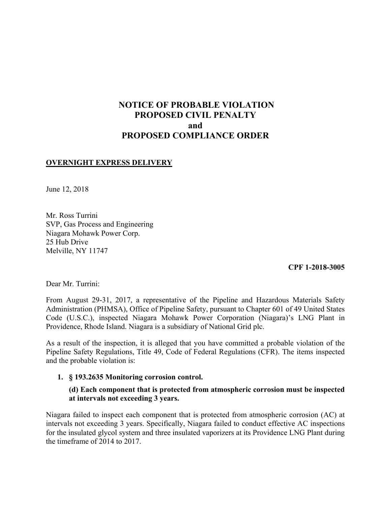# **NOTICE OF PROBABLE VIOLATION PROPOSED CIVIL PENALTY and PROPOSED COMPLIANCE ORDER**

## **OVERNIGHT EXPRESS DELIVERY**

June 12, 2018

Mr. Ross Turrini SVP, Gas Process and Engineering Niagara Mohawk Power Corp. 25 Hub Drive Melville, NY 11747

**CPF 1-2018-3005** 

Dear Mr. Turrini:

From August 29-31, 2017, a representative of the Pipeline and Hazardous Materials Safety Administration (PHMSA), Office of Pipeline Safety, pursuant to Chapter 601 of 49 United States Code (U.S.C.), inspected Niagara Mohawk Power Corporation (Niagara)'s LNG Plant in Providence, Rhode Island. Niagara is a subsidiary of National Grid plc.

As a result of the inspection, it is alleged that you have committed a probable violation of the Pipeline Safety Regulations, Title 49, Code of Federal Regulations (CFR). The items inspected and the probable violation is:

#### **1. § 193.2635 Monitoring corrosion control.**

### **(d) Each component that is protected from atmospheric corrosion must be inspected at intervals not exceeding 3 years.**

 Niagara failed to inspect each component that is protected from atmospheric corrosion (AC) at intervals not exceeding 3 years. Specifically, Niagara failed to conduct effective AC inspections for the insulated glycol system and three insulated vaporizers at its Providence LNG Plant during the timeframe of 2014 to 2017.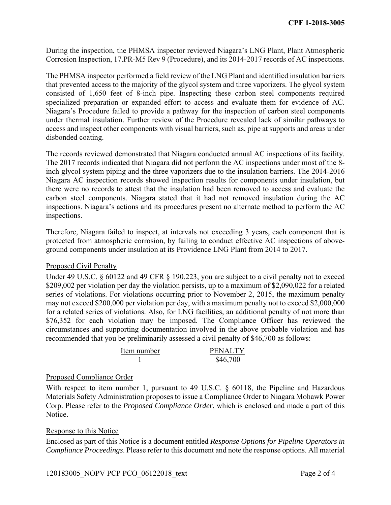During the inspection, the PHMSA inspector reviewed Niagara's LNG Plant, Plant Atmospheric Corrosion Inspection, 17.PR-M5 Rev 9 (Procedure), and its 2014-2017 records of AC inspections.

 specialized preparation or expanded effort to access and evaluate them for evidence of AC. under thermal insulation. Further review of the Procedure revealed lack of similar pathways to The PHMSA inspector performed a field review of the LNG Plant and identified insulation barriers that prevented access to the majority of the glycol system and three vaporizers. The glycol system consisted of 1,650 feet of 8-inch pipe. Inspecting these carbon steel components required Niagara's Procedure failed to provide a pathway for the inspection of carbon steel components access and inspect other components with visual barriers, such as, pipe at supports and areas under disbonded coating.

 The records reviewed demonstrated that Niagara conducted annual AC inspections of its facility. The 2017 records indicated that Niagara did not perform the AC inspections under most of the 8 inch glycol system piping and the three vaporizers due to the insulation barriers. The 2014-2016 Niagara AC inspection records showed inspection results for components under insulation, but there were no records to attest that the insulation had been removed to access and evaluate the carbon steel components. Niagara stated that it had not removed insulation during the AC inspections. Niagara's actions and its procedures present no alternate method to perform the AC inspections.

Therefore, Niagara failed to inspect, at intervals not exceeding 3 years, each component that is protected from atmospheric corrosion, by failing to conduct effective AC inspections of aboveground components under insulation at its Providence LNG Plant from 2014 to 2017.

#### Proposed Civil Penalty

 may not exceed \$200,000 per violation per day, with a maximum penalty not to exceed \$2,000,000 Under 49 U.S.C. § 60122 and 49 CFR § 190.223, you are subject to a civil penalty not to exceed \$209,002 per violation per day the violation persists, up to a maximum of \$2,090,022 for a related series of violations. For violations occurring prior to November 2, 2015, the maximum penalty for a related series of violations. Also, for LNG facilities, an additional penalty of not more than \$76,352 for each violation may be imposed. The Compliance Officer has reviewed the circumstances and supporting documentation involved in the above probable violation and has recommended that you be preliminarily assessed a civil penalty of \$46,700 as follows:

| Item number | <b>PENALTY</b> |
|-------------|----------------|
|             | \$46,700       |

#### Proposed Compliance Order

 Materials Safety Administration proposes to issue a Compliance Order to Niagara Mohawk Power With respect to item number 1, pursuant to 49 U.S.C. § 60118, the Pipeline and Hazardous Corp. Please refer to the *Proposed Compliance Order*, which is enclosed and made a part of this Notice.

#### Response to this Notice

Enclosed as part of this Notice is a document entitled *Response Options for Pipeline Operators in Compliance Proceedings*. Please refer to this document and note the response options. All material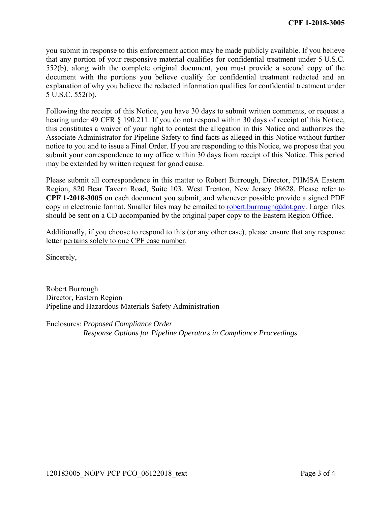you submit in response to this enforcement action may be made publicly available. If you believe that any portion of your responsive material qualifies for confidential treatment under 5 U.S.C. 552(b), along with the complete original document, you must provide a second copy of the document with the portions you believe qualify for confidential treatment redacted and an explanation of why you believe the redacted information qualifies for confidential treatment under 5 U.S.C. 552(b).

 hearing under 49 CFR § 190.211. If you do not respond within 30 days of receipt of this Notice, Following the receipt of this Notice, you have 30 days to submit written comments, or request a this constitutes a waiver of your right to contest the allegation in this Notice and authorizes the Associate Administrator for Pipeline Safety to find facts as alleged in this Notice without further notice to you and to issue a Final Order. If you are responding to this Notice, we propose that you submit your correspondence to my office within 30 days from receipt of this Notice. This period may be extended by written request for good cause.

Please submit all correspondence in this matter to Robert Burrough, Director, PHMSA Eastern Region, 820 Bear Tavern Road, Suite 103, West Trenton, New Jersey 08628. Please refer to **CPF 1-2018-3005** on each document you submit, and whenever possible provide a signed PDF copy in electronic format. Smaller files may be emailed to robert.burrough@dot.gov. Larger files should be sent on a CD accompanied by the original paper copy to the Eastern Region Office.

Additionally, if you choose to respond to this (or any other case), please ensure that any response letter pertains solely to one CPF case number.

Sincerely,

Robert Burrough Director, Eastern Region Pipeline and Hazardous Materials Safety Administration

Enclosures: *Proposed Compliance Order Response Options for Pipeline Operators in Compliance Proceedings*